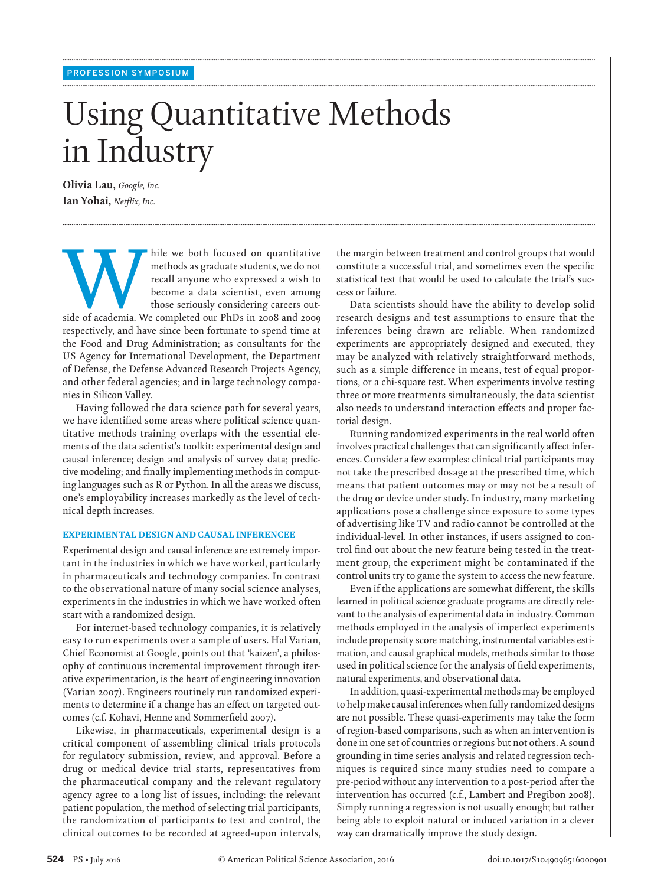# Using Quantitative Methods in Industry

**........................................................................................................................................................................................................................................................................................................**

**........................................................................................................................................................................................................................................................................................................**

**........................................................................................................................................................................................................................................................................................................**

 **Olivia Lau**, *Google*, *Inc.* **Ian Yohai**, *Netflix*, *Inc.* 

hile we both focused on quantitative<br>
methods as graduate students, we do not<br>
recall anyone who expressed a wish to<br>
become a data scientist, even among<br>
those seriously considering careers out-<br>
side of academia. We comp methods as graduate students, we do not recall anyone who expressed a wish to become a data scientist, even among those seriously considering careers out-

respectively, and have since been fortunate to spend time at the Food and Drug Administration; as consultants for the US Agency for International Development, the Department of Defense, the Defense Advanced Research Projects Agency, and other federal agencies; and in large technology companies in Silicon Valley.

 Having followed the data science path for several years, we have identified some areas where political science quantitative methods training overlaps with the essential elements of the data scientist's toolkit: experimental design and causal inference; design and analysis of survey data; predictive modeling; and finally implementing methods in computing languages such as R or Python. In all the areas we discuss, one's employability increases markedly as the level of technical depth increases.

### **EXPERIMENTAL DESIGN AND CAUSAL INFERENCEE**

 Experimental design and causal inference are extremely important in the industries in which we have worked, particularly in pharmaceuticals and technology companies. In contrast to the observational nature of many social science analyses, experiments in the industries in which we have worked often start with a randomized design.

 For internet-based technology companies, it is relatively easy to run experiments over a sample of users. Hal Varian, Chief Economist at Google, points out that 'kaizen', a philosophy of continuous incremental improvement through iterative experimentation, is the heart of engineering innovation (Varian 2007). Engineers routinely run randomized experiments to determine if a change has an effect on targeted outcomes (c.f. Kohavi, Henne and Sommerfield 2007).

 Likewise, in pharmaceuticals, experimental design is a critical component of assembling clinical trials protocols for regulatory submission, review, and approval. Before a drug or medical device trial starts, representatives from the pharmaceutical company and the relevant regulatory agency agree to a long list of issues, including: the relevant patient population, the method of selecting trial participants, the randomization of participants to test and control, the clinical outcomes to be recorded at agreed-upon intervals, the margin between treatment and control groups that would constitute a successful trial, and sometimes even the specific statistical test that would be used to calculate the trial's success or failure.

 Data scientists should have the ability to develop solid research designs and test assumptions to ensure that the inferences being drawn are reliable. When randomized experiments are appropriately designed and executed, they may be analyzed with relatively straightforward methods, such as a simple difference in means, test of equal proportions, or a chi-square test. When experiments involve testing three or more treatments simultaneously, the data scientist also needs to understand interaction effects and proper factorial design.

 Running randomized experiments in the real world often involves practical challenges that can significantly affect inferences. Consider a few examples: clinical trial participants may not take the prescribed dosage at the prescribed time, which means that patient outcomes may or may not be a result of the drug or device under study. In industry, many marketing applications pose a challenge since exposure to some types of advertising like TV and radio cannot be controlled at the individual-level. In other instances, if users assigned to control find out about the new feature being tested in the treatment group, the experiment might be contaminated if the control units try to game the system to access the new feature.

Even if the applications are somewhat different, the skills learned in political science graduate programs are directly relevant to the analysis of experimental data in industry. Common methods employed in the analysis of imperfect experiments include propensity score matching, instrumental variables estimation, and causal graphical models, methods similar to those used in political science for the analysis of field experiments, natural experiments, and observational data.

 In addition, quasi-experimental methods may be employed to help make causal inferences when fully randomized designs are not possible. These quasi-experiments may take the form of region-based comparisons, such as when an intervention is done in one set of countries or regions but not others. A sound grounding in time series analysis and related regression techniques is required since many studies need to compare a pre-period without any intervention to a post-period after the intervention has occurred (c.f., Lambert and Pregibon 2008). Simply running a regression is not usually enough; but rather being able to exploit natural or induced variation in a clever way can dramatically improve the study design.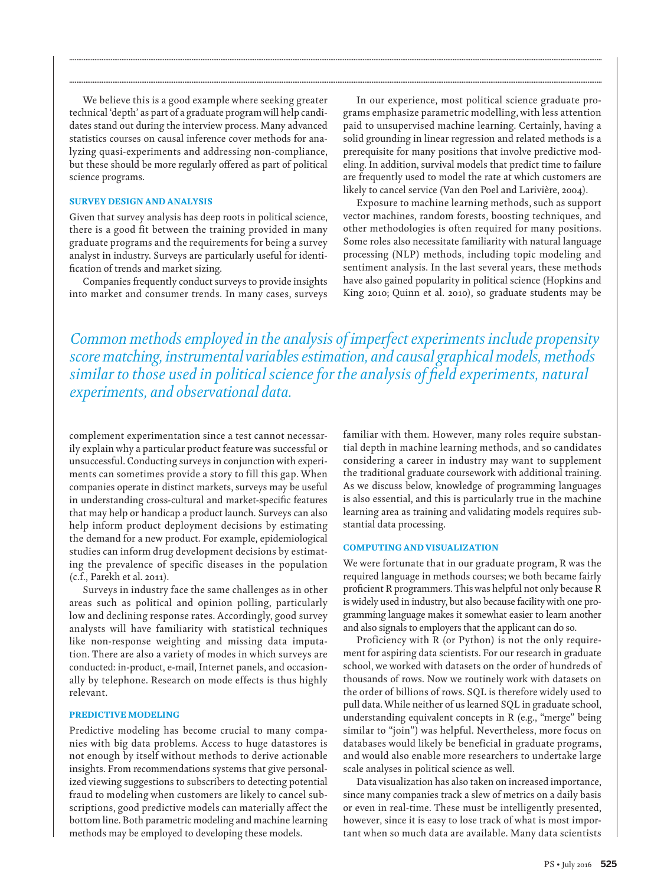We believe this is a good example where seeking greater technical 'depth' as part of a graduate program will help candidates stand out during the interview process. Many advanced statistics courses on causal inference cover methods for analyzing quasi-experiments and addressing non-compliance, but these should be more regularly offered as part of political science programs.

### **SURVEY DESIGN AND ANALYSIS**

 Given that survey analysis has deep roots in political science, there is a good fit between the training provided in many graduate programs and the requirements for being a survey analyst in industry. Surveys are particularly useful for identification of trends and market sizing.

 Companies frequently conduct surveys to provide insights into market and consumer trends. In many cases, surveys

 In our experience, most political science graduate programs emphasize parametric modelling, with less attention paid to unsupervised machine learning. Certainly, having a solid grounding in linear regression and related methods is a prerequisite for many positions that involve predictive modeling. In addition, survival models that predict time to failure are frequently used to model the rate at which customers are likely to cancel service (Van den Poel and Larivière, 2004).

 Exposure to machine learning methods, such as support vector machines, random forests, boosting techniques, and other methodologies is often required for many positions. Some roles also necessitate familiarity with natural language processing (NLP) methods, including topic modeling and sentiment analysis. In the last several years, these methods have also gained popularity in political science (Hopkins and King 2010; Quinn et al. 2010), so graduate students may be

 *Common methods employed in the analysis of imperfect experiments include propensity score matching, instrumental variables estimation, and causal graphical models, methods similar to those used in political science for the analysis of field experiments, natural experiments, and observational data.* 

**........................................................................................................................................................................................................................................................................................................**

**........................................................................................................................................................................................................................................................................................................**

complement experimentation since a test cannot necessarily explain why a particular product feature was successful or unsuccessful. Conducting surveys in conjunction with experiments can sometimes provide a story to fill this gap. When companies operate in distinct markets, surveys may be useful in understanding cross-cultural and market-specific features that may help or handicap a product launch. Surveys can also help inform product deployment decisions by estimating the demand for a new product. For example, epidemiological studies can inform drug development decisions by estimating the prevalence of specific diseases in the population (c.f., Parekh et al. 2011).

 Surveys in industry face the same challenges as in other areas such as political and opinion polling, particularly low and declining response rates. Accordingly, good survey analysts will have familiarity with statistical techniques like non-response weighting and missing data imputation. There are also a variety of modes in which surveys are conducted: in-product, e-mail, Internet panels, and occasionally by telephone. Research on mode effects is thus highly relevant.

## **PREDICTIVE MODELING**

 Predictive modeling has become crucial to many companies with big data problems. Access to huge datastores is not enough by itself without methods to derive actionable insights. From recommendations systems that give personalized viewing suggestions to subscribers to detecting potential fraud to modeling when customers are likely to cancel subscriptions, good predictive models can materially affect the bottom line. Both parametric modeling and machine learning methods may be employed to developing these models.

familiar with them. However, many roles require substantial depth in machine learning methods, and so candidates considering a career in industry may want to supplement the traditional graduate coursework with additional training. As we discuss below, knowledge of programming languages is also essential, and this is particularly true in the machine learning area as training and validating models requires substantial data processing.

#### **COMPUTING AND VISUALIZATION**

 We were fortunate that in our graduate program, R was the required language in methods courses; we both became fairly proficient R programmers. This was helpful not only because R is widely used in industry, but also because facility with one programming language makes it somewhat easier to learn another and also signals to employers that the applicant can do so.

 Proficiency with R (or Python) is not the only requirement for aspiring data scientists. For our research in graduate school, we worked with datasets on the order of hundreds of thousands of rows. Now we routinely work with datasets on the order of billions of rows. SQL is therefore widely used to pull data. While neither of us learned SQL in graduate school, understanding equivalent concepts in R (e.g., "merge" being similar to "join") was helpful. Nevertheless, more focus on databases would likely be beneficial in graduate programs, and would also enable more researchers to undertake large scale analyses in political science as well.

 Data visualization has also taken on increased importance, since many companies track a slew of metrics on a daily basis or even in real-time. These must be intelligently presented, however, since it is easy to lose track of what is most important when so much data are available. Many data scientists